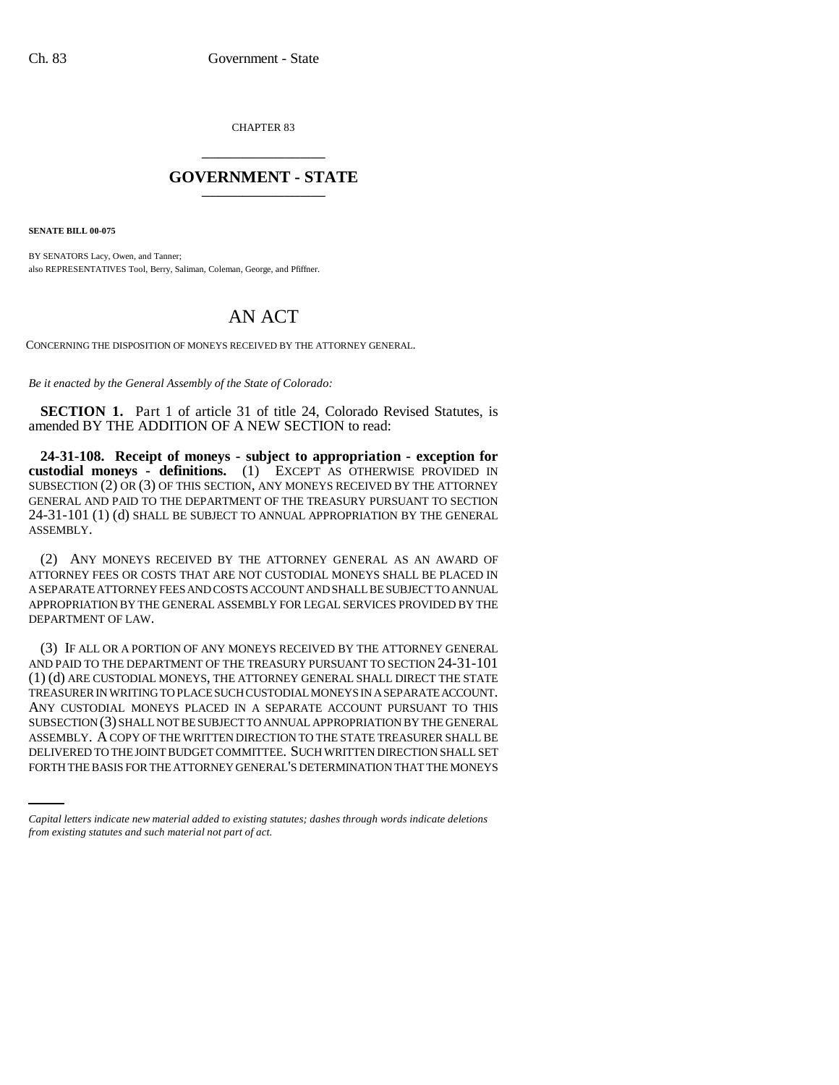CHAPTER 83 \_\_\_\_\_\_\_\_\_\_\_\_\_\_\_

## **GOVERNMENT - STATE** \_\_\_\_\_\_\_\_\_\_\_\_\_\_\_

**SENATE BILL 00-075** 

BY SENATORS Lacy, Owen, and Tanner; also REPRESENTATIVES Tool, Berry, Saliman, Coleman, George, and Pfiffner.

## AN ACT

CONCERNING THE DISPOSITION OF MONEYS RECEIVED BY THE ATTORNEY GENERAL.

*Be it enacted by the General Assembly of the State of Colorado:*

**SECTION 1.** Part 1 of article 31 of title 24, Colorado Revised Statutes, is amended BY THE ADDITION OF A NEW SECTION to read:

**24-31-108. Receipt of moneys - subject to appropriation - exception for custodial moneys - definitions.** (1) EXCEPT AS OTHERWISE PROVIDED IN SUBSECTION (2) OR (3) OF THIS SECTION, ANY MONEYS RECEIVED BY THE ATTORNEY GENERAL AND PAID TO THE DEPARTMENT OF THE TREASURY PURSUANT TO SECTION 24-31-101 (1) (d) SHALL BE SUBJECT TO ANNUAL APPROPRIATION BY THE GENERAL ASSEMBLY.

(2) ANY MONEYS RECEIVED BY THE ATTORNEY GENERAL AS AN AWARD OF ATTORNEY FEES OR COSTS THAT ARE NOT CUSTODIAL MONEYS SHALL BE PLACED IN A SEPARATE ATTORNEY FEES AND COSTS ACCOUNT AND SHALL BE SUBJECT TO ANNUAL APPROPRIATION BY THE GENERAL ASSEMBLY FOR LEGAL SERVICES PROVIDED BY THE DEPARTMENT OF LAW.

ASSEMBLY. A COPY OF THE WRITTEN DIRECTION TO THE STATE TREASURER SHALL BE (3) IF ALL OR A PORTION OF ANY MONEYS RECEIVED BY THE ATTORNEY GENERAL AND PAID TO THE DEPARTMENT OF THE TREASURY PURSUANT TO SECTION 24-31-101 (1) (d) ARE CUSTODIAL MONEYS, THE ATTORNEY GENERAL SHALL DIRECT THE STATE TREASURER IN WRITING TO PLACE SUCH CUSTODIAL MONEYS IN A SEPARATE ACCOUNT. ANY CUSTODIAL MONEYS PLACED IN A SEPARATE ACCOUNT PURSUANT TO THIS SUBSECTION (3) SHALL NOT BE SUBJECT TO ANNUAL APPROPRIATION BY THE GENERAL DELIVERED TO THE JOINT BUDGET COMMITTEE. SUCH WRITTEN DIRECTION SHALL SET FORTH THE BASIS FOR THE ATTORNEY GENERAL'S DETERMINATION THAT THE MONEYS

*Capital letters indicate new material added to existing statutes; dashes through words indicate deletions from existing statutes and such material not part of act.*